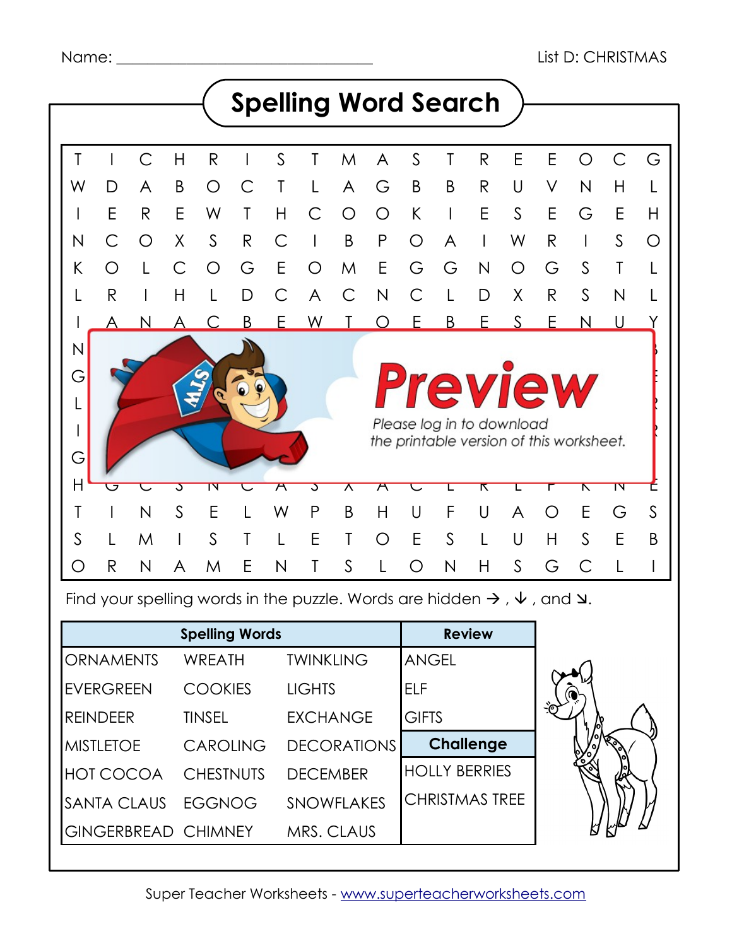

Find your spelling words in the puzzle. Words are hidden  $\rightarrow$  ,  $\vee$  , and  $\vee$ .

| <b>Spelling Words</b> |                  |                            | <b>Review</b>      |                       |  |
|-----------------------|------------------|----------------------------|--------------------|-----------------------|--|
|                       | <b>ORNAMENTS</b> | <b>WREATH</b>              | <b>TWINKLING</b>   | <b>ANGEL</b>          |  |
|                       | <b>EVERGREEN</b> | <b>COOKIES</b>             | <b>LIGHTS</b>      | ELF                   |  |
| <b>REINDEER</b>       |                  | <b>TINSEL</b>              | <b>EXCHANGE</b>    | <b>GIFTS</b>          |  |
| <b>MISTLETOE</b>      |                  | <b>CAROLING</b>            | <b>DECORATIONS</b> | <b>Challenge</b>      |  |
|                       | HOT COCOA        | <b>CHESTNUTS</b>           | <b>DECEMBER</b>    | <b>HOLLY BERRIES</b>  |  |
|                       | SANTA CLAUS      | EGGNOG                     | <b>SNOWFLAKES</b>  | <b>CHRISTMAS TREE</b> |  |
|                       |                  | <b>GINGERBREAD CHIMNEY</b> | MRS. CLAUS         |                       |  |